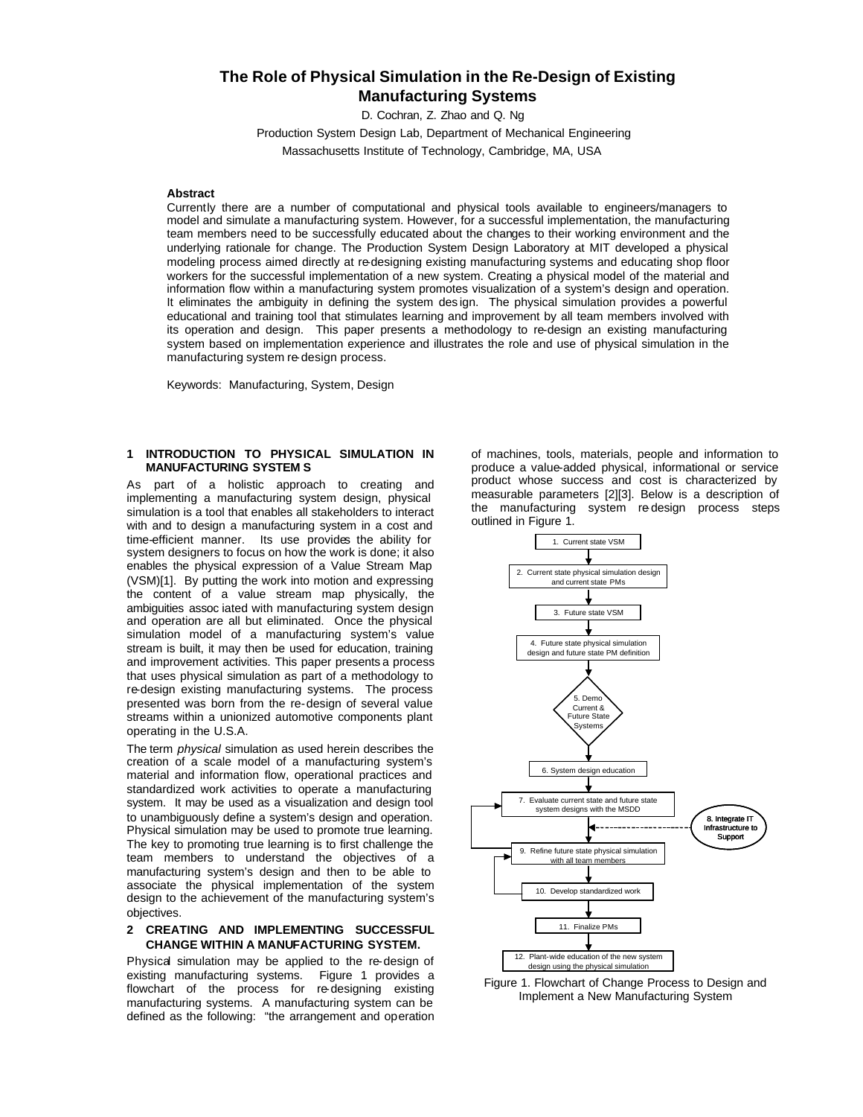# **The Role of Physical Simulation in the Re-Design of Existing Manufacturing Systems**

D. Cochran, Z. Zhao and Q. Ng

Production System Design Lab, Department of Mechanical Engineering Massachusetts Institute of Technology, Cambridge, MA, USA

# **Abstract**

Currently there are a number of computational and physical tools available to engineers/managers to model and simulate a manufacturing system. However, for a successful implementation, the manufacturing team members need to be successfully educated about the changes to their working environment and the underlying rationale for change. The Production System Design Laboratory at MIT developed a physical modeling process aimed directly at re-designing existing manufacturing systems and educating shop floor workers for the successful implementation of a new system. Creating a physical model of the material and information flow within a manufacturing system promotes visualization of a system's design and operation. It eliminates the ambiguity in defining the system des ign. The physical simulation provides a powerful educational and training tool that stimulates learning and improvement by all team members involved with its operation and design. This paper presents a methodology to re-design an existing manufacturing system based on implementation experience and illustrates the role and use of physical simulation in the manufacturing system re-design process.

Keywords: Manufacturing, System, Design

# **1 INTRODUCTION TO PHYSICAL SIMULATION IN MANUFACTURING SYSTEM S**

As part of a holistic approach to creating and implementing a manufacturing system design, physical simulation is a tool that enables all stakeholders to interact with and to design a manufacturing system in a cost and time-efficient manner. Its use provides the ability for system designers to focus on how the work is done; it also enables the physical expression of a Value Stream Map (VSM)[1]. By putting the work into motion and expressing the content of a value stream map physically, the ambiguities assoc iated with manufacturing system design and operation are all but eliminated. Once the physical simulation model of a manufacturing system's value stream is built, it may then be used for education, training and improvement activities. This paper presents a process that uses physical simulation as part of a methodology to re-design existing manufacturing systems. The process presented was born from the re-design of several value streams within a unionized automotive components plant operating in the U.S.A.

The term *physical* simulation as used herein describes the creation of a scale model of a manufacturing system's material and information flow, operational practices and standardized work activities to operate a manufacturing system. It may be used as a visualization and design tool to unambiguously define a system's design and operation. Physical simulation may be used to promote true learning. The key to promoting true learning is to first challenge the team members to understand the objectives of a manufacturing system's design and then to be able to associate the physical implementation of the system design to the achievement of the manufacturing system's objectives.

# **2 CREATING AND IMPLEMENTING SUCCESSFUL CHANGE WITHIN A MANUFACTURING SYSTEM.**

Physical simulation may be applied to the re-design of existing manufacturing systems. Figure 1 provides a flowchart of the process for re-designing existing manufacturing systems. A manufacturing system can be defined as the following: "the arrangement and operation

of machines, tools, materials, people and information to produce a value-added physical, informational or service product whose success and cost is characterized by measurable parameters [2][3]. Below is a description of the manufacturing system re-design process steps outlined in Figure 1.



Figure 1. Flowchart of Change Process to Design and Implement a New Manufacturing System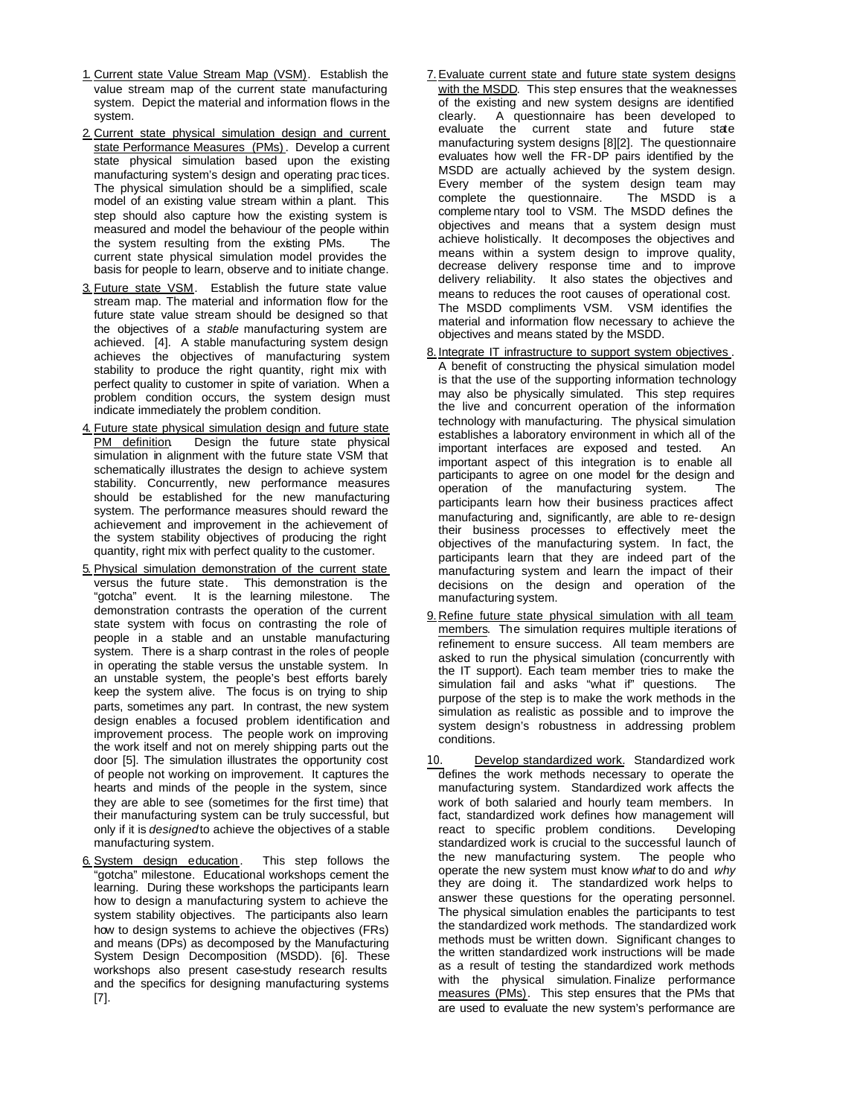- 1. Current state Value Stream Map (VSM). Establish the value stream map of the current state manufacturing system. Depict the material and information flows in the system.
- 2. Current state physical simulation design and current state Performance Measures (PMs). Develop a current state physical simulation based upon the existing manufacturing system's design and operating prac tices. The physical simulation should be a simplified, scale model of an existing value stream within a plant. This step should also capture how the existing system is measured and model the behaviour of the people within the system resulting from the existing PMs. The current state physical simulation model provides the basis for people to learn, observe and to initiate change.
- 3. Future state VSM. Establish the future state value stream map. The material and information flow for the future state value stream should be designed so that the objectives of a *stable* manufacturing system are achieved. [4]. A stable manufacturing system design achieves the objectives of manufacturing system stability to produce the right quantity, right mix with perfect quality to customer in spite of variation. When a problem condition occurs, the system design must indicate immediately the problem condition.
- 4. Future state physical simulation design and future state PM definition. Design the future state physical simulation in alignment with the future state VSM that schematically illustrates the design to achieve system stability. Concurrently, new performance measures should be established for the new manufacturing system. The performance measures should reward the achievement and improvement in the achievement of the system stability objectives of producing the right quantity, right mix with perfect quality to the customer.
- 5. Physical simulation demonstration of the current state versus the future state. This demonstration is the "gotcha" event. It is the learning milestone. The demonstration contrasts the operation of the current state system with focus on contrasting the role of people in a stable and an unstable manufacturing system. There is a sharp contrast in the roles of people in operating the stable versus the unstable system. In an unstable system, the people's best efforts barely keep the system alive. The focus is on trying to ship parts, sometimes any part. In contrast, the new system design enables a focused problem identification and improvement process. The people work on improving the work itself and not on merely shipping parts out the door [5]. The simulation illustrates the opportunity cost of people not working on improvement. It captures the hearts and minds of the people in the system, since they are able to see (sometimes for the first time) that their manufacturing system can be truly successful, but only if it is *designed* to achieve the objectives of a stable manufacturing system.
- 6. System design education. This step follows the "gotcha" milestone. Educational workshops cement the learning. During these workshops the participants learn how to design a manufacturing system to achieve the system stability objectives. The participants also learn how to design systems to achieve the objectives (FRs) and means (DPs) as decomposed by the Manufacturing System Design Decomposition (MSDD). [6]. These workshops also present case-study research results and the specifics for designing manufacturing systems [7].
- 7.Evaluate current state and future state system designs with the MSDD. This step ensures that the weaknesses of the existing and new system designs are identified clearly. A questionnaire has been developed to evaluate the current state and future state manufacturing system designs [8][2]. The questionnaire evaluates how well the FR-DP pairs identified by the MSDD are actually achieved by the system design. Every member of the system design team may complete the questionnaire. The MSDD is a complete the questionnaire. compleme ntary tool to VSM. The MSDD defines the objectives and means that a system design must achieve holistically. It decomposes the objectives and means within a system design to improve quality, decrease delivery response time and to improve delivery reliability. It also states the objectives and means to reduces the root causes of operational cost. The MSDD compliments VSM. VSM identifies the material and information flow necessary to achieve the objectives and means stated by the MSDD.
- 8. Integrate IT infrastructure to support system objectives. A benefit of constructing the physical simulation model is that the use of the supporting information technology may also be physically simulated. This step requires the live and concurrent operation of the information technology with manufacturing. The physical simulation establishes a laboratory environment in which all of the important interfaces are exposed and tested. An important aspect of this integration is to enable all participants to agree on one model for the design and operation of the manufacturing system. The participants learn how their business practices affect manufacturing and, significantly, are able to re-design their business processes to effectively meet the objectives of the manufacturing system. In fact, the participants learn that they are indeed part of the manufacturing system and learn the impact of their decisions on the design and operation of the manufacturing system.
- 9. Refine future state physical simulation with all team members. The simulation requires multiple iterations of refinement to ensure success. All team members are asked to run the physical simulation (concurrently with the IT support). Each team member tries to make the simulation fail and asks "what if" questions. The purpose of the step is to make the work methods in the simulation as realistic as possible and to improve the system design's robustness in addressing problem conditions.

10. Develop standardized work. Standardized work defines the work methods necessary to operate the manufacturing system. Standardized work affects the work of both salaried and hourly team members. In fact, standardized work defines how management will react to specific problem conditions. Developing standardized work is crucial to the successful launch of the new manufacturing system. The people who operate the new system must know *what* to do and *why* they are doing it. The standardized work helps to answer these questions for the operating personnel. The physical simulation enables the participants to test the standardized work methods. The standardized work methods must be written down. Significant changes to the written standardized work instructions will be made as a result of testing the standardized work methods with the physical simulation. Finalize performance measures (PMs). This step ensures that the PMs that are used to evaluate the new system's performance are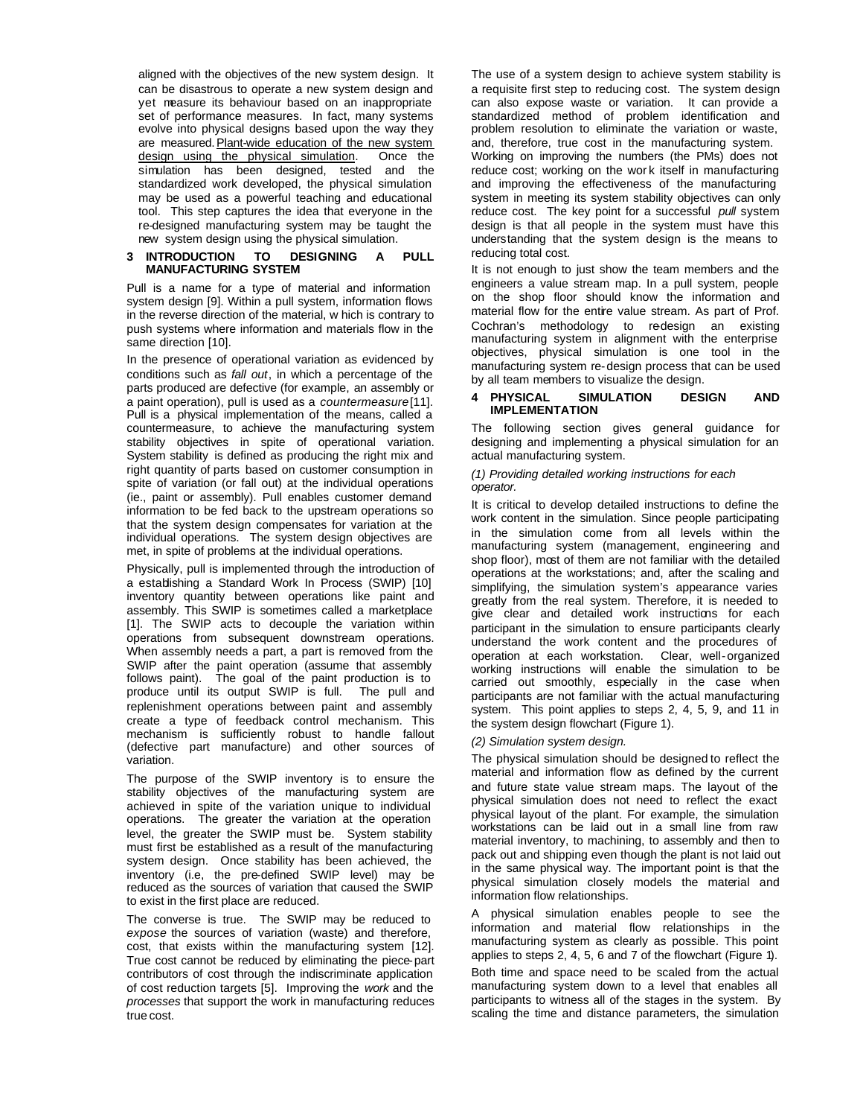aligned with the objectives of the new system design. It can be disastrous to operate a new system design and yet measure its behaviour based on an inappropriate set of performance measures. In fact, many systems evolve into physical designs based upon the way they are measured. Plant-wide education of the new system design using the physical simulation. Once the simulation has been designed, tested and the standardized work developed, the physical simulation may be used as a powerful teaching and educational tool. This step captures the idea that everyone in the re-designed manufacturing system may be taught the new system design using the physical simulation.

### **3 INTRODUCTION TO DESIGNING A PULL MANUFACTURING SYSTEM**

Pull is a name for a type of material and information system design [9]. Within a pull system, information flows in the reverse direction of the material, w hich is contrary to push systems where information and materials flow in the same direction [10].

In the presence of operational variation as evidenced by conditions such as *fall out*, in which a percentage of the parts produced are defective (for example, an assembly or a paint operation), pull is used as a *countermeasure* [11]. Pull is a physical implementation of the means, called a countermeasure, to achieve the manufacturing system stability objectives in spite of operational variation. System stability is defined as producing the right mix and right quantity of parts based on customer consumption in spite of variation (or fall out) at the individual operations (ie., paint or assembly). Pull enables customer demand information to be fed back to the upstream operations so that the system design compensates for variation at the individual operations. The system design objectives are met, in spite of problems at the individual operations.

Physically, pull is implemented through the introduction of a establishing a Standard Work In Process (SWIP) [10] inventory quantity between operations like paint and assembly. This SWIP is sometimes called a marketplace [1]. The SWIP acts to decouple the variation within operations from subsequent downstream operations. When assembly needs a part, a part is removed from the SWIP after the paint operation (assume that assembly follows paint). The goal of the paint production is to produce until its output SWIP is full. The pull and replenishment operations between paint and assembly create a type of feedback control mechanism. This mechanism is sufficiently robust to handle fallout (defective part manufacture) and other sources of variation.

The purpose of the SWIP inventory is to ensure the stability objectives of the manufacturing system are achieved in spite of the variation unique to individual operations. The greater the variation at the operation level, the greater the SWIP must be. System stability must first be established as a result of the manufacturing system design. Once stability has been achieved, the inventory (i.e, the pre-defined SWIP level) may be reduced as the sources of variation that caused the SWIP to exist in the first place are reduced.

The converse is true. The SWIP may be reduced to *expose* the sources of variation (waste) and therefore, cost, that exists within the manufacturing system [12]. True cost cannot be reduced by eliminating the piece-part contributors of cost through the indiscriminate application of cost reduction targets [5]. Improving the *work* and the *processes* that support the work in manufacturing reduces true cost.

The use of a system design to achieve system stability is a requisite first step to reducing cost. The system design can also expose waste or variation. It can provide a standardized method of problem identification and problem resolution to eliminate the variation or waste, and, therefore, true cost in the manufacturing system. Working on improving the numbers (the PMs) does not reduce cost; working on the wor k itself in manufacturing and improving the effectiveness of the manufacturing system in meeting its system stability objectives can only reduce cost. The key point for a successful *pull* system design is that all people in the system must have this understanding that the system design is the means to reducing total cost.

It is not enough to just show the team members and the engineers a value stream map. In a pull system, people on the shop floor should know the information and material flow for the entire value stream. As part of Prof. Cochran's methodology to redesign an existing manufacturing system in alignment with the enterprise objectives, physical simulation is one tool in the manufacturing system re-design process that can be used by all team members to visualize the design.

### **4 PHYSICAL SIMULATION DESIGN AND IMPLEMENTATION**

The following section gives general guidance for designing and implementing a physical simulation for an actual manufacturing system.

### *(1) Providing detailed working instructions for each operator.*

It is critical to develop detailed instructions to define the work content in the simulation. Since people participating in the simulation come from all levels within the manufacturing system (management, engineering and shop floor), most of them are not familiar with the detailed operations at the workstations; and, after the scaling and simplifying, the simulation system's appearance varies greatly from the real system. Therefore, it is needed to give clear and detailed work instructions for each participant in the simulation to ensure participants clearly understand the work content and the procedures of operation at each workstation. Clear, well-organized working instructions will enable the simulation to be carried out smoothly, especially in the case when participants are not familiar with the actual manufacturing system. This point applies to steps 2, 4, 5, 9, and 11 in the system design flowchart (Figure 1).

# *(2) Simulation system design.*

The physical simulation should be designed to reflect the material and information flow as defined by the current and future state value stream maps. The layout of the physical simulation does not need to reflect the exact physical layout of the plant. For example, the simulation workstations can be laid out in a small line from raw material inventory, to machining, to assembly and then to pack out and shipping even though the plant is not laid out in the same physical way. The important point is that the physical simulation closely models the material and information flow relationships.

A physical simulation enables people to see the information and material flow relationships in the manufacturing system as clearly as possible. This point applies to steps 2, 4, 5, 6 and 7 of the flowchart (Figure 1). Both time and space need to be scaled from the actual manufacturing system down to a level that enables all participants to witness all of the stages in the system. By scaling the time and distance parameters, the simulation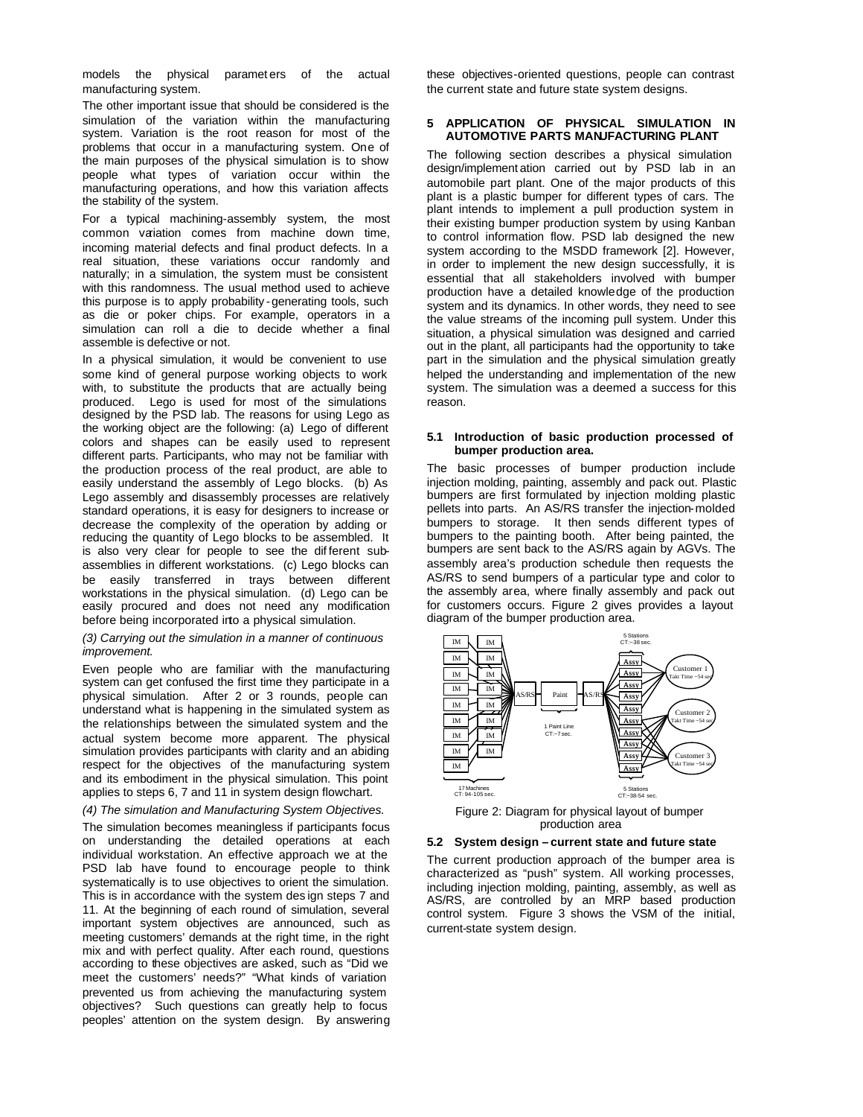models the physical paramet ers of the actual manufacturing system.

The other important issue that should be considered is the simulation of the variation within the manufacturing system. Variation is the root reason for most of the problems that occur in a manufacturing system. One of the main purposes of the physical simulation is to show people what types of variation occur within the manufacturing operations, and how this variation affects the stability of the system.

For a typical machining-assembly system, the most common variation comes from machine down time, incoming material defects and final product defects. In a real situation, these variations occur randomly and naturally; in a simulation, the system must be consistent with this randomness. The usual method used to achieve this purpose is to apply probability -generating tools, such as die or poker chips. For example, operators in a simulation can roll a die to decide whether a final assemble is defective or not.

In a physical simulation, it would be convenient to use some kind of general purpose working objects to work with, to substitute the products that are actually being produced. Lego is used for most of the simulations designed by the PSD lab. The reasons for using Lego as the working object are the following: (a) Lego of different colors and shapes can be easily used to represent different parts. Participants, who may not be familiar with the production process of the real product, are able to easily understand the assembly of Lego blocks. (b) As Lego assembly and disassembly processes are relatively standard operations, it is easy for designers to increase or decrease the complexity of the operation by adding or reducing the quantity of Lego blocks to be assembled. It is also very clear for people to see the dif ferent subassemblies in different workstations. (c) Lego blocks can be easily transferred in trays between different workstations in the physical simulation. (d) Lego can be easily procured and does not need any modification before being incorporated into a physical simulation.

# *(3) Carrying out the simulation in a manner of continuous improvement.*

Even people who are familiar with the manufacturing system can get confused the first time they participate in a physical simulation. After 2 or 3 rounds, people can understand what is happening in the simulated system as the relationships between the simulated system and the actual system become more apparent. The physical simulation provides participants with clarity and an abiding respect for the objectives of the manufacturing system and its embodiment in the physical simulation. This point applies to steps 6, 7 and 11 in system design flowchart.

#### *(4) The simulation and Manufacturing System Objectives.*

The simulation becomes meaningless if participants focus on understanding the detailed operations at each individual workstation. An effective approach we at the PSD lab have found to encourage people to think systematically is to use objectives to orient the simulation. This is in accordance with the system des ign steps 7 and 11. At the beginning of each round of simulation, several important system objectives are announced, such as meeting customers' demands at the right time, in the right mix and with perfect quality. After each round, questions according to these objectives are asked, such as "Did we meet the customers' needs?" "What kinds of variation prevented us from achieving the manufacturing system objectives? Such questions can greatly help to focus peoples' attention on the system design. By answering

these objectives-oriented questions, people can contrast the current state and future state system designs.

# **5 APPLICATION OF PHYSICAL SIMULATION IN AUTOMOTIVE PARTS MANUFACTURING PLANT**

The following section describes a physical simulation design/implement ation carried out by PSD lab in an automobile part plant. One of the major products of this plant is a plastic bumper for different types of cars. The plant intends to implement a pull production system in their existing bumper production system by using Kanban to control information flow. PSD lab designed the new system according to the MSDD framework [2]. However, in order to implement the new design successfully, it is essential that all stakeholders involved with bumper production have a detailed knowledge of the production system and its dynamics. In other words, they need to see the value streams of the incoming pull system. Under this situation, a physical simulation was designed and carried out in the plant, all participants had the opportunity to take part in the simulation and the physical simulation greatly helped the understanding and implementation of the new system. The simulation was a deemed a success for this reason.

#### **5.1 Introduction of basic production processed of bumper production area.**

The basic processes of bumper production include injection molding, painting, assembly and pack out. Plastic bumpers are first formulated by injection molding plastic pellets into parts. An AS/RS transfer the injection-molded bumpers to storage. It then sends different types of bumpers to the painting booth. After being painted, the bumpers are sent back to the AS/RS again by AGVs. The assembly area's production schedule then requests the AS/RS to send bumpers of a particular type and color to the assembly area, where finally assembly and pack out for customers occurs. Figure 2 gives provides a layout diagram of the bumper production area.



Figure 2: Diagram for physical layout of bumper production area

#### **5.2 System design – current state and future state**

The current production approach of the bumper area is characterized as "push" system. All working processes, including injection molding, painting, assembly, as well as AS/RS, are controlled by an MRP based production control system. Figure 3 shows the VSM of the initial, current-state system design.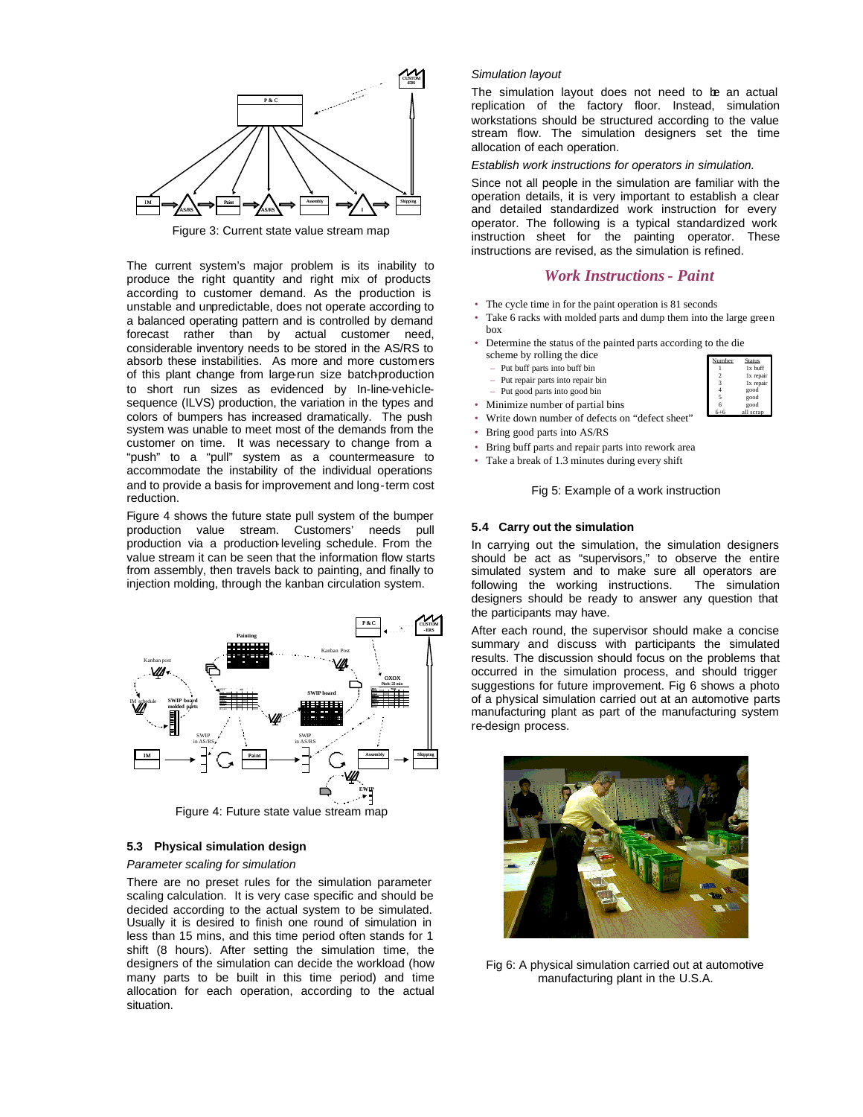

Figure 3: Current state value stream map

The current system's major problem is its inability to produce the right quantity and right mix of products according to customer demand. As the production is unstable and unpredictable, does not operate according to a balanced operating pattern and is controlled by demand forecast rather than by actual customer need, considerable inventory needs to be stored in the AS/RS to absorb these instabilities. As more and more customers of this plant change from large-run size batch-production to short run sizes as evidenced by In-line-vehiclesequence (ILVS) production, the variation in the types and colors of bumpers has increased dramatically. The push system was unable to meet most of the demands from the customer on time. It was necessary to change from a "push" to a "pull" system as a countermeasure to accommodate the instability of the individual operations and to provide a basis for improvement and long-term cost reduction.

Figure 4 shows the future state pull system of the bumper production value stream. Customers' needs pull production via a production-leveling schedule. From the value stream it can be seen that the information flow starts from assembly, then travels back to painting, and finally to injection molding, through the kanban circulation system.



#### **5.3 Physical simulation design**

### *Parameter scaling for simulation*

There are no preset rules for the simulation parameter scaling calculation. It is very case specific and should be decided according to the actual system to be simulated. Usually it is desired to finish one round of simulation in less than 15 mins, and this time period often stands for 1 shift (8 hours). After setting the simulation time, the designers of the simulation can decide the workload (how many parts to be built in this time period) and time allocation for each operation, according to the actual situation.

### *Simulation layout*

The simulation layout does not need to be an actual replication of the factory floor. Instead, simulation workstations should be structured according to the value stream flow. The simulation designers set the time allocation of each operation.

*Establish work instructions for operators in simulation.*

Since not all people in the simulation are familiar with the operation details, it is very important to establish a clear and detailed standardized work instruction for every operator. The following is a typical standardized work instruction sheet for the painting operator. These instructions are revised, as the simulation is refined.

# *Work Instructions - Paint*

- The cycle time in for the paint operation is 81 seconds
- Take 6 racks with molded parts and dump them into the large green box
- Determine the status of the painted parts according to the die scheme by rolling the dice
- Put buff parts into buff bin
- Put repair parts into repair bin
- Put good parts into good bin
- Minimize number of partial bins
- Write down number of defects on "defect sheet"
- Bring good parts into AS/RS
- Bring buff parts and repair parts into rework area
- Take a break of 1.3 minutes during every shift

Fig 5: Example of a work instruction

#### **5.4 Carry out the simulation**

In carrying out the simulation, the simulation designers should be act as "supervisors," to observe the entire simulated system and to make sure all operators are following the working instructions. The simulation designers should be ready to answer any question that the participants may have.

After each round, the supervisor should make a concise summary and discuss with participants the simulated results. The discussion should focus on the problems that occurred in the simulation process, and should trigger suggestions for future improvement. Fig 6 shows a photo of a physical simulation carried out at an automotive parts manufacturing plant as part of the manufacturing system re-design process.



Fig 6: A physical simulation carried out at automotive manufacturing plant in the U.S.A.

| Number         | <b>Status</b> |
|----------------|---------------|
|                | 1x buff       |
| $\mathfrak{D}$ | 1x repair     |
| 3              | 1x repair     |
|                | good          |
| 5              | good          |
| ĥ              | good          |
|                | scran         |